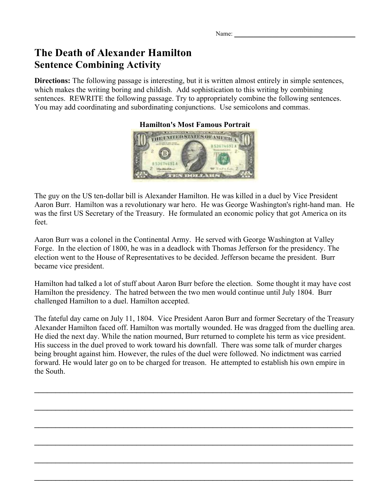Name:

## **The Death of Alexander Hamilton Sentence Combining Activity**

**Directions:** The following passage is interesting, but it is written almost entirely in simple sentences, which makes the writing boring and childish. Add sophistication to this writing by combining sentences. REWRITE the following passage. Try to appropriately combine the following sentences. You may add coordinating and subordinating conjunctions. Use semicolons and commas.

**Hamilton's Most Famous Portrait**



The guy on the US ten-dollar bill is Alexander Hamilton. He was killed in a duel by Vice President Aaron Burr. Hamilton was a revolutionary war hero. He was George Washington's right-hand man. He was the first US Secretary of the Treasury. He formulated an economic policy that got America on its feet.

Aaron Burr was a colonel in the Continental Army. He served with George Washington at Valley Forge. In the election of 1800, he was in a deadlock with Thomas Jefferson for the presidency. The election went to the House of Representatives to be decided. Jefferson became the president. Burr became vice president.

Hamilton had talked a lot of stuff about Aaron Burr before the election. Some thought it may have cost Hamilton the presidency. The hatred between the two men would continue until July 1804. Burr challenged Hamilton to a duel. Hamilton accepted.

The fateful day came on July 11, 1804. Vice President Aaron Burr and former Secretary of the Treasury Alexander Hamilton faced off. Hamilton was mortally wounded. He was dragged from the duelling area. He died the next day. While the nation mourned, Burr returned to complete his term as vice president. His success in the duel proved to work toward his downfall. There was some talk of murder charges being brought against him. However, the rules of the duel were followed. No indictment was carried forward. He would later go on to be charged for treason. He attempted to establish his own empire in the South.

 $\mathcal{L}_\mathcal{L} = \mathcal{L}_\mathcal{L} = \mathcal{L}_\mathcal{L} = \mathcal{L}_\mathcal{L} = \mathcal{L}_\mathcal{L} = \mathcal{L}_\mathcal{L} = \mathcal{L}_\mathcal{L} = \mathcal{L}_\mathcal{L} = \mathcal{L}_\mathcal{L} = \mathcal{L}_\mathcal{L} = \mathcal{L}_\mathcal{L} = \mathcal{L}_\mathcal{L} = \mathcal{L}_\mathcal{L} = \mathcal{L}_\mathcal{L} = \mathcal{L}_\mathcal{L} = \mathcal{L}_\mathcal{L} = \mathcal{L}_\mathcal{L}$ 

 $\mathcal{L}_\text{max} = \mathcal{L}_\text{max} = \mathcal{L}_\text{max} = \mathcal{L}_\text{max} = \mathcal{L}_\text{max} = \mathcal{L}_\text{max} = \mathcal{L}_\text{max} = \mathcal{L}_\text{max} = \mathcal{L}_\text{max} = \mathcal{L}_\text{max} = \mathcal{L}_\text{max} = \mathcal{L}_\text{max} = \mathcal{L}_\text{max} = \mathcal{L}_\text{max} = \mathcal{L}_\text{max} = \mathcal{L}_\text{max} = \mathcal{L}_\text{max} = \mathcal{L}_\text{max} = \mathcal{$ 

 $\mathcal{L}_\text{max} = \mathcal{L}_\text{max} = \mathcal{L}_\text{max} = \mathcal{L}_\text{max} = \mathcal{L}_\text{max} = \mathcal{L}_\text{max} = \mathcal{L}_\text{max} = \mathcal{L}_\text{max} = \mathcal{L}_\text{max} = \mathcal{L}_\text{max} = \mathcal{L}_\text{max} = \mathcal{L}_\text{max} = \mathcal{L}_\text{max} = \mathcal{L}_\text{max} = \mathcal{L}_\text{max} = \mathcal{L}_\text{max} = \mathcal{L}_\text{max} = \mathcal{L}_\text{max} = \mathcal{$ 

 $\mathcal{L}_\text{max}$  and  $\mathcal{L}_\text{max}$  and  $\mathcal{L}_\text{max}$  and  $\mathcal{L}_\text{max}$  and  $\mathcal{L}_\text{max}$  and  $\mathcal{L}_\text{max}$ 

 $\mathcal{L}_\text{max} = \mathcal{L}_\text{max} = \mathcal{L}_\text{max} = \mathcal{L}_\text{max} = \mathcal{L}_\text{max} = \mathcal{L}_\text{max} = \mathcal{L}_\text{max} = \mathcal{L}_\text{max} = \mathcal{L}_\text{max} = \mathcal{L}_\text{max} = \mathcal{L}_\text{max} = \mathcal{L}_\text{max} = \mathcal{L}_\text{max} = \mathcal{L}_\text{max} = \mathcal{L}_\text{max} = \mathcal{L}_\text{max} = \mathcal{L}_\text{max} = \mathcal{L}_\text{max} = \mathcal{$ 

 $\mathcal{L}_\text{max}$  and  $\mathcal{L}_\text{max}$  and  $\mathcal{L}_\text{max}$  and  $\mathcal{L}_\text{max}$  and  $\mathcal{L}_\text{max}$  and  $\mathcal{L}_\text{max}$